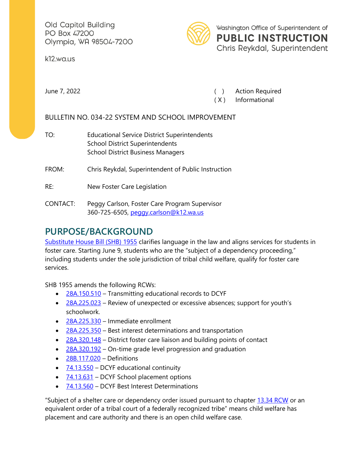Old Capitol Building PO Box 47200 Olympia, WA 98504-7200

k12.wa.us



Washington Office of Superintendent of **PUBLIC INSTRUCTION** Chris Reykdal, Superintendent

June 7, 2022 ( ) Action Required

( X ) Informational

BULLETIN NO. 034-22 SYSTEM AND SCHOOL IMPROVEMENT

TO: Educational Service District Superintendents School District Superintendents School District Business Managers

FROM: Chris Reykdal, Superintendent of Public Instruction

- RE: New Foster Care Legislation
- CONTACT: Peggy Carlson, Foster Care Program Supervisor 360-725-6505, [peggy.carlson@k12.wa.us](mailto:peggy.carlson@k12.wa.us)

# **PURPOSE/BACKGROUND**

[Substitute House Bill \(SHB\) 1955](https://lawfilesext.leg.wa.gov/biennium/2021-22/Pdf/Bills/Session%20Laws/House/1955-S.SL.pdf?q=20220516103026) clarifies language in the law and aligns services for students in foster care. Starting June 9, students who are the "subject of a dependency proceeding," including students under the sole jurisdiction of tribal child welfare, qualify for foster care services.

SHB 1955 amends the following RCWs:

- [28A.150.510](https://apps.leg.wa.gov/RCW/default.aspx?cite=28A.150.510)  Transmitting educational records to DCYF
- $\bullet$  [28A.225.023](https://apps.leg.wa.gov/rcw/default.aspx?cite=28A.225.023)  Review of unexpected or excessive absences; support for youth's schoolwork.
- [28A.225.330](https://apps.leg.wa.gov/rcw/default.aspx?cite=28a.225.330)  Immediate enrollment
- [28A.225.350](https://app.leg.wa.gov/RCW/default.aspx?cite=28A.225.350)  Best interest determinations and transportation
- $\bullet$  [28A.320.148](https://apps.leg.wa.gov/RCW/default.aspx?cite=28A.320.148)  District foster care liaison and building points of contact
- [28A.320.192](https://apps.leg.wa.gov/RCW/default.aspx?cite=28A.320.192)  On-time grade level progression and graduation
- [28B.117.020](https://app.leg.wa.gov/rcw/default.aspx?cite=28B.117.020)  Definitions
- $\bullet$  [74.13.550](https://apps.leg.wa.gov/RCW/default.aspx?cite=74.13.550)  DCYF educational continuity
- $\bullet$  [74.13.631](https://app.leg.wa.gov/rcw/default.aspx?cite=74.13.631)  DCYF School placement options
- [74.13.560](https://apps.leg.wa.gov/rcw/default.aspx?cite=74.13.560)  DCYF Best Interest Determinations

"Subject of a shelter care or dependency order issued pursuant to chapter [13.34 RCW](https://apps.leg.wa.gov/RCW/default.aspx?cite=13.34) or an equivalent order of a tribal court of a federally recognized tribe" means child welfare has placement and care authority and there is an open child welfare case.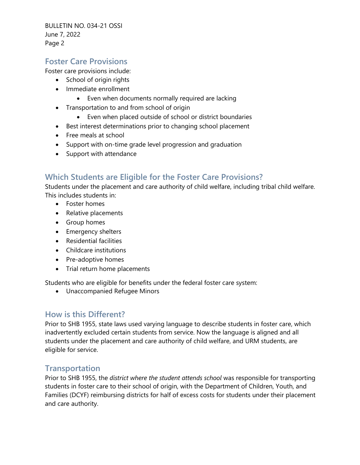BULLETIN NO. 034-21 OSSI June 7, 2022 Page 2

#### **Foster Care Provisions**

Foster care provisions include:

- School of origin rights
- Immediate enrollment
	- Even when documents normally required are lacking
- Transportation to and from school of origin
	- Even when placed outside of school or district boundaries
- Best interest determinations prior to changing school placement
- Free meals at school
- Support with on-time grade level progression and graduation
- Support with attendance

### **Which Students are Eligible for the Foster Care Provisions?**

Students under the placement and care authority of child welfare, including tribal child welfare. This includes students in:

- Foster homes
- Relative placements
- Group homes
- Emergency shelters
- Residential facilities
- Childcare institutions
- Pre-adoptive homes
- Trial return home placements

Students who are eligible for benefits under the federal foster care system:

• Unaccompanied Refugee Minors

#### **How is this Different?**

Prior to SHB 1955, state laws used varying language to describe students in foster care, which inadvertently excluded certain students from service. Now the language is aligned and all students under the placement and care authority of child welfare, and URM students, are eligible for service.

#### **Transportation**

Prior to SHB 1955, the *district where the student attends school* was responsible for transporting students in foster care to their school of origin, with the Department of Children, Youth, and Families (DCYF) reimbursing districts for half of excess costs for students under their placement and care authority.